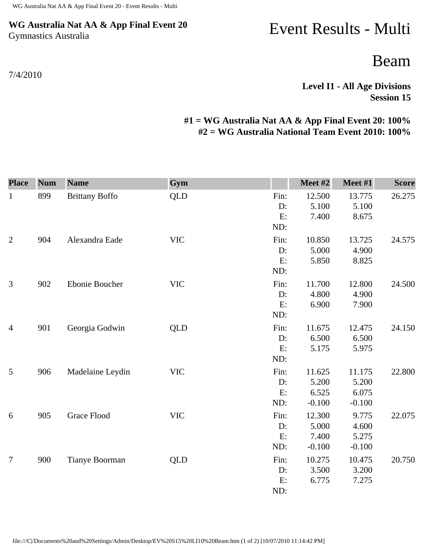### **WG Australia Nat AA & App Final Event 20** Gymnastics Australia

#### 7/4/2010

# Event Results - Multi

## Beam

**Level I1 - All Age Divisions Session 15** 

### **#1 = WG Australia Nat AA & App Final Event 20: 100% #2 = WG Australia National Team Event 2010: 100%**

| <b>Place</b>   | <b>Num</b> | <b>Name</b>           | Gym        |      | Meet #2  | Meet #1  | <b>Score</b> |
|----------------|------------|-----------------------|------------|------|----------|----------|--------------|
| $\mathbf{1}$   | 899        | <b>Brittany Boffo</b> | <b>QLD</b> | Fin: | 12.500   | 13.775   | 26.275       |
|                |            |                       |            | D:   | 5.100    | 5.100    |              |
|                |            |                       |            | E:   | 7.400    | 8.675    |              |
|                |            |                       |            | ND:  |          |          |              |
| $\overline{2}$ | 904        | Alexandra Eade        | <b>VIC</b> | Fin: | 10.850   | 13.725   | 24.575       |
|                |            |                       |            | D:   | 5.000    | 4.900    |              |
|                |            |                       |            | E:   | 5.850    | 8.825    |              |
|                |            |                       |            | ND:  |          |          |              |
| 3              | 902        | Ebonie Boucher        | <b>VIC</b> | Fin: | 11.700   | 12.800   | 24.500       |
|                |            |                       |            | D:   | 4.800    | 4.900    |              |
|                |            |                       |            | E:   | 6.900    | 7.900    |              |
|                |            |                       |            | ND:  |          |          |              |
| $\overline{4}$ | 901        | Georgia Godwin        | <b>QLD</b> | Fin: | 11.675   | 12.475   | 24.150       |
|                |            |                       |            | D:   | 6.500    | 6.500    |              |
|                |            |                       |            | E:   | 5.175    | 5.975    |              |
|                |            |                       |            | ND:  |          |          |              |
| 5              | 906        | Madelaine Leydin      | <b>VIC</b> | Fin: | 11.625   | 11.175   | 22.800       |
|                |            |                       |            | D:   | 5.200    | 5.200    |              |
|                |            |                       |            | E:   | 6.525    | 6.075    |              |
|                |            |                       |            | ND:  | $-0.100$ | $-0.100$ |              |
| 6              | 905        | <b>Grace Flood</b>    | <b>VIC</b> | Fin: | 12.300   | 9.775    | 22.075       |
|                |            |                       |            | D:   | 5.000    | 4.600    |              |
|                |            |                       |            | E:   | 7.400    | 5.275    |              |
|                |            |                       |            | ND:  | $-0.100$ | $-0.100$ |              |
| $\overline{7}$ | 900        | <b>Tianye Boorman</b> | <b>QLD</b> | Fin: | 10.275   | 10.475   | 20.750       |
|                |            |                       |            | D:   | 3.500    | 3.200    |              |
|                |            |                       |            | E:   | 6.775    | 7.275    |              |
|                |            |                       |            | ND:  |          |          |              |